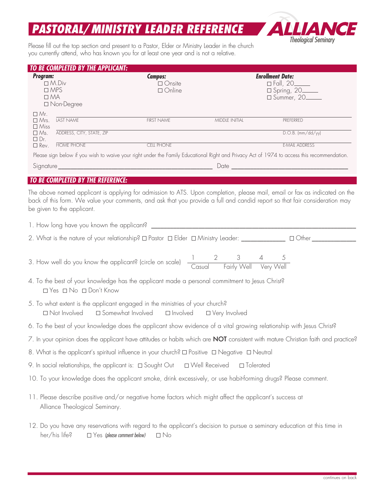## *PASTORAL/MINISTRY LEADER REFERENCE*



Please fill out the top section and present to a Pastor, Elder or Ministry Leader in the church you currently attend, who has known you for at least one year and is not a relative.

| TO BE COMPLETED BY THE APPLICANT:                                                                                                                             |                                   |                                                                                                                                                                                                                                                           |                                |                                                                                                                                   |  |  |  |
|---------------------------------------------------------------------------------------------------------------------------------------------------------------|-----------------------------------|-----------------------------------------------------------------------------------------------------------------------------------------------------------------------------------------------------------------------------------------------------------|--------------------------------|-----------------------------------------------------------------------------------------------------------------------------------|--|--|--|
| <b>Program:</b>                                                                                                                                               |                                   | <b>Campus:</b>                                                                                                                                                                                                                                            |                                | <b>Enrollment Date:</b>                                                                                                           |  |  |  |
|                                                                                                                                                               | $\Box$ M.Div                      | $\Box$ Onsite                                                                                                                                                                                                                                             |                                | $\square$ Fall, 20_____                                                                                                           |  |  |  |
|                                                                                                                                                               | $\Box$ MPS<br>$\Box$ MA           | $\Box$ Online                                                                                                                                                                                                                                             |                                | □ Spring, 20<br>□ Summer, 20                                                                                                      |  |  |  |
|                                                                                                                                                               | □ Non-Degree                      |                                                                                                                                                                                                                                                           |                                |                                                                                                                                   |  |  |  |
| □ Mr.                                                                                                                                                         |                                   |                                                                                                                                                                                                                                                           |                                |                                                                                                                                   |  |  |  |
| $\square$ Mrs.                                                                                                                                                | LAST NAME                         | <b>FIRST NAME</b>                                                                                                                                                                                                                                         | MIDDLE INITIAL                 | PREFERRED                                                                                                                         |  |  |  |
| $\Box$ Miss<br>$\Box$ Ms.                                                                                                                                     | ADDRESS, CITY, STATE, ZIP         |                                                                                                                                                                                                                                                           |                                | $D.O.B.$ (mm/dd/yy)                                                                                                               |  |  |  |
| $\Box$ Dr.                                                                                                                                                    |                                   |                                                                                                                                                                                                                                                           |                                |                                                                                                                                   |  |  |  |
| $\Box$ Rev.                                                                                                                                                   | <b>HOME PHONE</b>                 | <b>CELL PHONE</b>                                                                                                                                                                                                                                         |                                | <b>E-MAIL ADDRESS</b>                                                                                                             |  |  |  |
|                                                                                                                                                               |                                   | Please sign below if you wish to waive your right under the Family Educational Right and Privacy Act of 1974 to access this recommendation.                                                                                                               |                                |                                                                                                                                   |  |  |  |
|                                                                                                                                                               |                                   |                                                                                                                                                                                                                                                           |                                |                                                                                                                                   |  |  |  |
|                                                                                                                                                               |                                   |                                                                                                                                                                                                                                                           |                                |                                                                                                                                   |  |  |  |
|                                                                                                                                                               | TO BE COMPLETED BY THE REFERENCE: |                                                                                                                                                                                                                                                           |                                |                                                                                                                                   |  |  |  |
|                                                                                                                                                               | be given to the applicant.        | The above named applicant is applying for admission to ATS. Upon completion, please mail, email or fax as indicated on the<br>back of this form. We value your comments, and ask that you provide a full and candid report so that fair consideration may |                                |                                                                                                                                   |  |  |  |
|                                                                                                                                                               |                                   |                                                                                                                                                                                                                                                           |                                |                                                                                                                                   |  |  |  |
|                                                                                                                                                               |                                   | 2. What is the nature of your relationship? O Pastor O Elder O Ministry Leader: ______________ Other _                                                                                                                                                    |                                |                                                                                                                                   |  |  |  |
|                                                                                                                                                               |                                   |                                                                                                                                                                                                                                                           |                                |                                                                                                                                   |  |  |  |
|                                                                                                                                                               |                                   | 3. How well do you know the applicant? (circle on scale) $\frac{1}{\text{Casual}} \frac{2}{\text{Fairly Well}} \frac{3}{\text{Very Well}}$                                                                                                                |                                |                                                                                                                                   |  |  |  |
|                                                                                                                                                               | □ Yes □ No □ Don't Know           | 4. To the best of your knowledge has the applicant made a personal commitment to Jesus Christ?                                                                                                                                                            |                                |                                                                                                                                   |  |  |  |
| 5. To what extent is the applicant engaged in the ministries of your church?<br>□ Not Involved<br>$\Box$ Somewhat Involved $\Box$ Involved<br>□ Very Involved |                                   |                                                                                                                                                                                                                                                           |                                |                                                                                                                                   |  |  |  |
|                                                                                                                                                               |                                   | 6. To the best of your knowledge does the applicant show evidence of a vital growing relationship with Jesus Christ?                                                                                                                                      |                                |                                                                                                                                   |  |  |  |
|                                                                                                                                                               |                                   |                                                                                                                                                                                                                                                           |                                | 7. In your opinion does the applicant have attitudes or habits which are NOT consistent with mature Christian faith and practice? |  |  |  |
|                                                                                                                                                               |                                   | 8. What is the applicant's spiritual influence in your church? □ Positive □ Negative □ Neutral                                                                                                                                                            |                                |                                                                                                                                   |  |  |  |
|                                                                                                                                                               |                                   | 9. In social relationships, the applicant is: $\Box$ Sought Out                                                                                                                                                                                           | □ Tolerated<br>□ Well Received |                                                                                                                                   |  |  |  |
|                                                                                                                                                               |                                   | 10. To your knowledge does the applicant smoke, drink excessively, or use habit-forming drugs? Please comment.                                                                                                                                            |                                |                                                                                                                                   |  |  |  |
|                                                                                                                                                               | Alliance Theological Seminary.    | 11. Please describe positive and/or negative home factors which might affect the applicant's success at                                                                                                                                                   |                                |                                                                                                                                   |  |  |  |
|                                                                                                                                                               | her/his life?                     | 12. Do you have any reservations with regard to the applicant's decision to pursue a seminary education at this time in<br>$\square$ Yes (please comment below)<br>$\Box$ No                                                                              |                                |                                                                                                                                   |  |  |  |